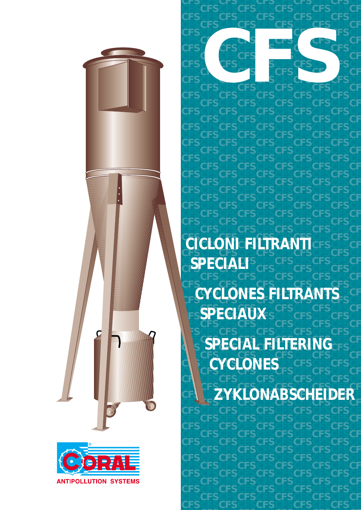



**CFSCFSCFSCFSCFSCFSCFSCFSCFS C CFSCFSCFSCFSCFSCFSCFSCFSCFS CFSCFSCFSCFSCFSCFSCFSCFSCFS C Crici GRIL FILTD ANTISESCFS CICLONDISILI RAN LICESCES C CFSCFSCFSCFSCFSCFSCFSCFSCFS CFSCFSCFSCFSCFSCFSCFSCFSCFS C CFSCFSCFSCFSCFSCFSCFSCFSCFS SPECIALI CFSCFSCFSCFSCFSCFSCFSCFSCFS C CFSCFSCFSCFSCFSCFSCFSCFSCFS CYCLONES FILTRANTS C CYCLONES FILTRANTS CFSCFSCFSCFSCFSCFSCFSCFSCFS C ESPECIAUX**S<sup>CFS</sup>CFS **CFSCFSCFSCFSCFSCFSCFSCFSCFS C CFSCFSCFSCFSCFSCFSCFSCFSCFS CEPTION CUTEDING C ASSPECIAL FILTERING CFSCFSCFSCFSCFSCFSCFSCFSCFS C CHESCRISCFSCFSCFSCFSCFS CONES CFSCFS C CFSCFSCFSCFSCFSCFSCFSCFSCFS** CE CFS WILL SALAR CALIFINER **CFS LZYKLONABSCHEIDERL**  $CF$ **SAKLONABSCHEIDER CICLONI FILTRANTI**

<u>CFSCFSCFSCFSCFSCFSCFSCF</u> **CFSCFSCFSCFSCFSCFSCFSCFSCFS**

**CFSCFSCFSCFSCFSCFSCFSCFSCFS CFSCFSCFSCFSCFSCFSCFSCFSCFS**

CFSCFSCFSCFSCFSCFSCFSCFS **CFSCFSCFSCFSCFSCFSCFSCFSCFS**

**CFSCFSCFSCFSCFSCFSCFSCFSCFS CFSCFSCFSCFSCFSCFSCFSCFSCFS**

**CFSCFSCFSCFSCFSCFSCFSCFSCFS CFSC CFSCFSCFSCFSCFSCFSCFSC** 

CFS CFS STSC<br>CFS CFS SCFS<br>CFS CFS CFS CFS CFS<br>CFS CFS CFS CFS CFS

**CFSCFSCFSCFSCFSCFSCFSCFSCFS CFSCFSCFSCFSCFSCFSCFSCFSCFS**

**CFSCFSCFSCFSCFSCFSCFSCFSCFS CFSCFSCFSCFSCFSCFSCFSCFSCFS**

**CFSCFSCFSCFSCFSCFSCFSCFSCFS CFSCFSCFSCFSCFSCFSCFSCFSCFS**

**CFSCFSCFSCFSCFSCFSCFSCFSCFS CFSCFSCFSCFSCFSCFSCFSCFSCFS**

**CFSCFSCFSCFSCFSCFSCFSCFSCFS CFSCFSCFSCFSCFSCFSCFSCFSCFS**

**CFSCFSCFSCFSCFSCFSCFSCFSCFS CFSCFSCFSCFSCFSCFSCFSCFSCFS**

**CFSCFSCFSCFSCFSCFSCFSCFSCFS CFSCFSCFSCFSCFSCFSCFSCFSCFS**

**CFSCFSCFSCFSCFSCFSCFSCFSCFS CFSCFSCFSCFSCFSCFSCFSCFSCFS**

**CFSCFSCFSCFSCFSCFSCFSCFSCFS**

**C F**

**C F**

**C F**

**C F**

**C F**

**C F**

**C F**

**C F**

**C F**

**C F**

**C F**

**C F**

**C F**

**F**

**F**

**F**

**F**

**F**

**F**

**F**

**F**

**F**

**F**

**F**

**CFSCFSCFSCFSCFSCFSCFSCFSCFS CFSCFSCFSCFSCFSCFSCFSCFSCFS C F CFSCFSCFSCFSCFSCFSCFSCFSCFS CFSCFSCFSCFSCFSCFSCFSCFSCFS C F CFSCFSCFSCFSCFSCFSCFSCFSCFS CFSCFSCFSCFSCFSCFSCFSCFSCFS C F CFSCFSCFSCFSCFSCFSCFSCFSCFS CFSCFSCFSCFSCFSCFSCFSCFSCFS C F CFSCFSCFSCFSCFSCFSCFSCFSCFS CFSCFSCFSCFSCFSCFSCFSCFSCFS C F CFSCFSCFSCFSCFSCFSCFSCFSCFS CFSCFSCFSCFSCFSCFSCFSCFSCFS C F CFSCFSCFSCFSCFSCFSCFSCFSCFS**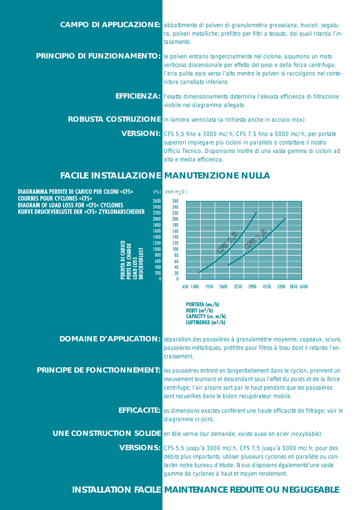| <b>CAMPO DI APPLICAZIONE:</b>      | abbattimento di polveri di granulometria grossolana, trucioli, segatu-<br>ra, polveri metalliche; prefiltro per filtri a tessuto, dei quali ritarda l'in-<br>tasamento.                                                                                  |
|------------------------------------|----------------------------------------------------------------------------------------------------------------------------------------------------------------------------------------------------------------------------------------------------------|
| <b>PRINCIPIO DI FUNZIONAMENTO:</b> | le polveri entrano tangenzialmente nel ciclone, assumono un moto<br>vorticoso discensionale per effetto del peso e della forza centrifuga;<br>l'aria pulita esce verso l'alto mentre le polveri si raccolgono nel conte-<br>nitore carrellato inferiore. |
|                                    | <b>EFFICIENZA:</b> l'esatto dimensionamento determina l'elevata efficienza di filtrazione<br>visibile nel diagramma allegato.                                                                                                                            |
|                                    | <b>ROBUSTA COSTRUZIONE</b> in lamiera verniciata (a richiesta anche in acciaio inox)                                                                                                                                                                     |
|                                    | VERSIONI: CFS 5,5 fino a 3000 mc/h, CFS 7,5 fino a 5000 mc/h; per portate<br>superiori impiegare più cicloni in parallelo o contattare il nostro<br>Ufficio Tecnico. Disponiamo inoltre di una vasta gamma di cicloni ad<br>alta e media efficienza.     |
|                                    | <b>FACILE INSTALLAZIONE MANUTENZIONE NULLA</b>                                                                                                                                                                                                           |

**DIAGRAMMA PERDITE DI CARICO PER CILONI «CFS»**

**DIAGRAM OF LOAD LOSS FOR «CFS» CYCLONES**

**COURBES POUR CYCLONES «CFS»**

650 1300 1950 2600 3250 3900 4550 0 80 100  $220$ 240 260 **KURVE DRUCKVERLUSTE DER «CFS» ZYKLONABSCHEIDER PERDITA DI CARICO PERTE DE CHARGE LOAD LOSS DRUCKVERLUST PORTATA (mc/h) DEBIT (m3/h) CAPACITY (cu. m/h)** 200 180 20 40 60 120 140 160 5200 5850 6500  $\boldsymbol{0}$ 800 1000 2200 2400 2600 2000 1800 200 400 600 1200 1400 1600  $(Pa)$  (mm H<sub>2</sub>O) **CFS 5,5 CFS 7,<sup>5</sup>**

**DOMAINE D'APPLICATION:** séparation des poussières à granulométrie moyenne, copeaux, sciure, poussières métalliques, préfiltre pour filtres à tissu dont il retarde l'encrassement.

**LUFTMENGE (m3/h)**

**PRINCIPE DE FONCTIONNEMENT:** les poussières entrent en tangentiellement dans le cyclon, prennent un mouvement tournant et descendant sous l'effet du poids et de la force centrifuge; l'air propre sort par le haut pendant que les poussières sont recueillies dans le bidon recupérateur mobile.

> **EFFICACITE:** es dimensions exactes confèrent une haute efficacité de filtrage; voir le diagramme ci-joint.

**UNE CONSTRUCTION SOLIDE** en tôle vernie (sur demande, existe aussi en acier inoxydable)

**VERSIONS:** CFS 5,5 jusqu'à 3000 mc/h, CFS 7,5 jusqu'à 5000 mc/h; pour des débits plus importants, utiliser plusieurs cyclones en parallèle ou contacter notre bureau d'étude. Nous disposons égalementd'une vaste gamme de cyclones à haut et moyen rendement.

**INSTALLATION FACILE MAINTENANCE REDUITE OU NEGLIGEABLE**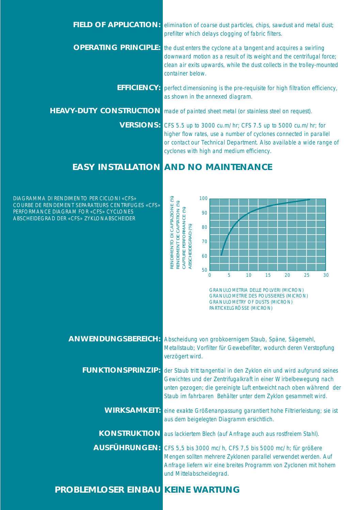| <b>FIELD OF APPLICATION:</b> | elimination of coarse dust particles, chips, sawdust and metal dust;<br>prefilter which delays clogging of fabric filters.                                                                                                                                     |
|------------------------------|----------------------------------------------------------------------------------------------------------------------------------------------------------------------------------------------------------------------------------------------------------------|
| <b>OPERATING PRINCIPLE:</b>  | the dust enters the cyclone at a tangent and acquires a swirling<br>downward motion as a result of its weight and the centrifugal force;<br>clean air exits upwards, while the dust collects in the trolley-mounted<br>container below.                        |
| <b>EFFICIENCY:</b>           | perfect dimensioning is the pre-requisite for high filtration efficiency,<br>as shown in the annexed diagram.                                                                                                                                                  |
|                              | <b>HEAVY-DUTY CONSTRUCTION</b> made of painted sheet metal (or stainless steel on request).                                                                                                                                                                    |
|                              | VERSIONS: CFS 5.5 up to 3000 cu.m/hr; CFS 7.5 up to 5000 cu.m/hr; for<br>higher flow rates, use a number of cyclones connected in parallel<br>or contact our Technical Department. Also available a wide range of<br>cyclones with high and medium efficiency. |

## **EASY INSTALLATION AND NO MAINTENANCE**

**PROBLEMLOSER EINBAU KEINE WARTUNG**

COURBE DE RENDEMENT SEPARATEURS CENTRIFUGES «CFS» PERFORMANCE DIAGRAM FOR «CFS» CYCLONES ABSCHEIDEGRAD DER «CFS» ZYKLONABSCHEIDER